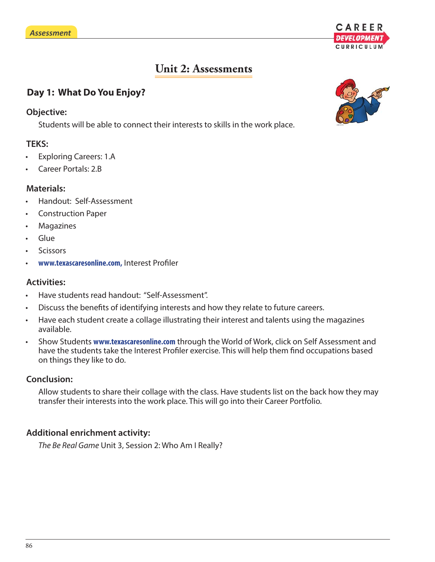

# **Unit 2: Assessments**

## **Day 1: What Do You Enjoy?**

#### **Objective:**

Students will be able to connect their interests to skills in the work place.

#### **TEKS:**

- Exploring Careers: 1.A
- Career Portals: 2.B

#### **Materials:**

- Handout: Self-Assessment
- Construction Paper
- **Magazines**
- Glue
- **Scissors**
- www.texascaresonline.com, Interest Profiler

#### **Activities:**

- Have students read handout: "Self-Assessment".
- Discuss the benefits of identifying interests and how they relate to future careers.
- Have each student create a collage illustrating their interest and talents using the magazines available.
- Show Students **www.texascaresonline.com** through the World of Work, click on Self Assessment and have the students take the Interest Profiler exercise. This will help them find occupations based on things they like to do.

#### **Conclusion:**

Allow students to share their collage with the class. Have students list on the back how they may transfer their interests into the work place. This will go into their Career Portfolio.

#### **Additional enrichment activity:**

*The Be Real Game* Unit 3, Session 2: Who Am I Really?

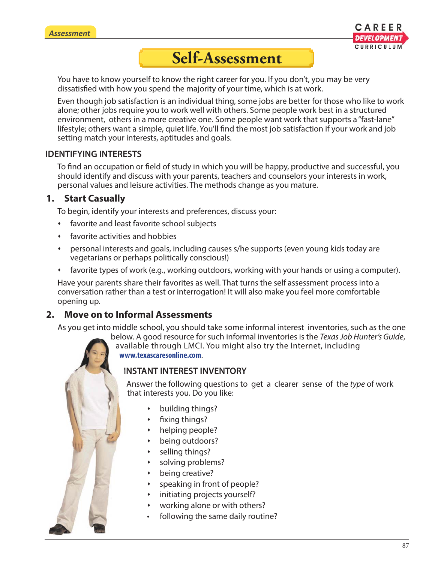

# **Self-Assessment**

You have to know yourself to know the right career for you. If you don't, you may be very dissatisfied with how you spend the majority of your time, which is at work.

Even though job satisfaction is an individual thing, some jobs are better for those who like to work alone; other jobs require you to work well with others. Some people work best in a structured environment, others in a more creative one. Some people want work that supports a "fast-lane" lifestyle; others want a simple, quiet life. You'll find the most job satisfaction if your work and job setting match your interests, aptitudes and goals.

#### **IDENTIFYING INTERESTS**

To find an occupation or field of study in which you will be happy, productive and successful, you should identify and discuss with your parents, teachers and counselors your interests in work, personal values and leisure activities. The methods change as you mature.

# **1. Start Casually**

To begin, identify your interests and preferences, discuss your:

- favorite and least favorite school subjects
- favorite activities and hobbies
- personal interests and goals, including causes s/he supports (even young kids today are vegetarians or perhaps politically conscious!)
- favorite types of work (e.g., working outdoors, working with your hands or using a computer).

Have your parents share their favorites as well. That turns the self assessment process into a conversation rather than a test or interrogation! It will also make you feel more comfortable opening up.

# **2. Move on to Informal Assessments**

As you get into middle school, you should take some informal interest inventories, such as the one g

below. A good resource for such informal inventories is the *Texas Job Hunter's Guide*, be available through LMCI. You might also try the Internet, including av **www.texascaresonline.com**. **w**

# **INSTANT INTEREST INVENTORY IN**

Answer the following questions to get a clearer sense of the *type* of work Athat interests you. Do you like:

- building things?
- $\cdot$  fixing things?
- helping people?
- being outdoors?
- selling things?
- solving problems?
- being creative?
- speaking in front of people?
- initiating projects yourself?
- working alone or with others?
- following the same daily routine?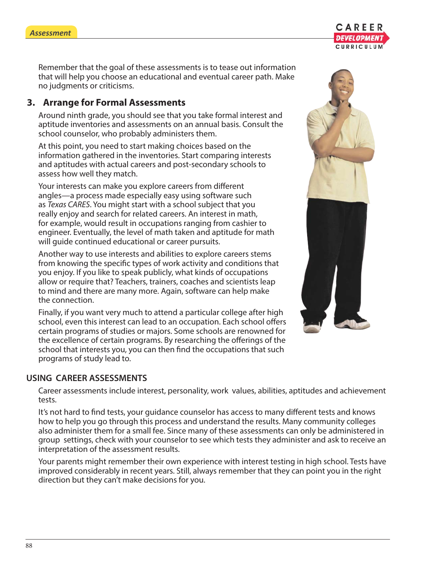Remember that the goal of these assessments is to tease out information that will help you choose an educational and eventual career path. Make no judgments or criticisms.

## **3. Arrange for Formal Assessments**

Around ninth grade, you should see that you take formal interest and aptitude inventories and assessments on an annual basis. Consult the school counselor, who probably administers them.

At this point, you need to start making choices based on the information gathered in the inventories. Start comparing interests and aptitudes with actual careers and post-secondary schools to assess how well they match.

Your interests can make you explore careers from different angles—a process made especially easy using software such as *Texas CARES*. You might start with a school subject that you really enjoy and search for related careers. An interest in math, for example, would result in occupations ranging from cashier to engineer. Eventually, the level of math taken and aptitude for math will guide continued educational or career pursuits.

Another way to use interests and abilities to explore careers stems from knowing the specific types of work activity and conditions that you enjoy. If you like to speak publicly, what kinds of occupations allow or require that? Teachers, trainers, coaches and scientists leap to mind and there are many more. Again, software can help make the connection.

Finally, if you want very much to attend a particular college after high school, even this interest can lead to an occupation. Each school offers certain programs of studies or majors. Some schools are renowned for the excellence of certain programs. By researching the offerings of the school that interests you, you can then find the occupations that such programs of study lead to.

#### **USING CAREER ASSESSMENTS**

Career assessments include interest, personality, work values, abilities, aptitudes and achievement tests.

It's not hard to find tests, your guidance counselor has access to many different tests and knows how to help you go through this process and understand the results. Many community colleges also administer them for a small fee. Since many of these assessments can only be administered in group settings, check with your counselor to see which tests they administer and ask to receive an interpretation of the assessment results.

Your parents might remember their own experience with interest testing in high school. Tests have improved considerably in recent years. Still, always remember that they can point you in the right direction but they can't make decisions for you.